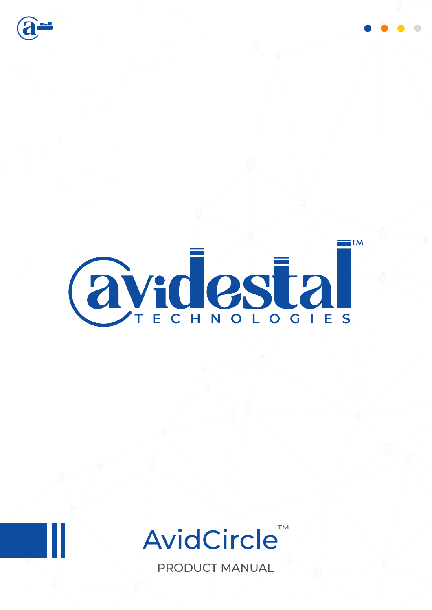



## AvidCircle™

PRODUCT MANUAL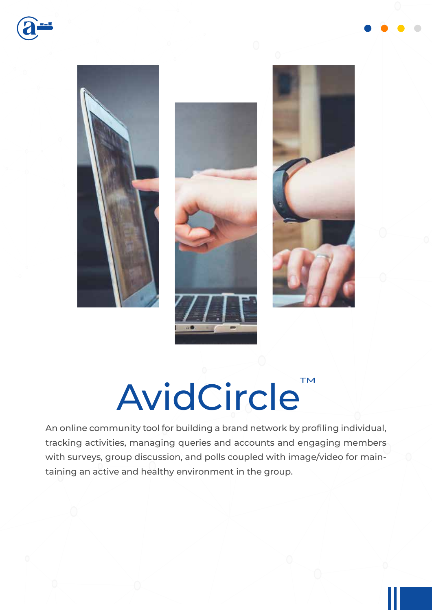







# AvidCircle<sup>TM</sup>

An online community tool for building a brand network by profiling individual, tracking activities, managing queries and accounts and engaging members with surveys, group discussion, and polls coupled with image/video for maintaining an active and healthy environment in the group.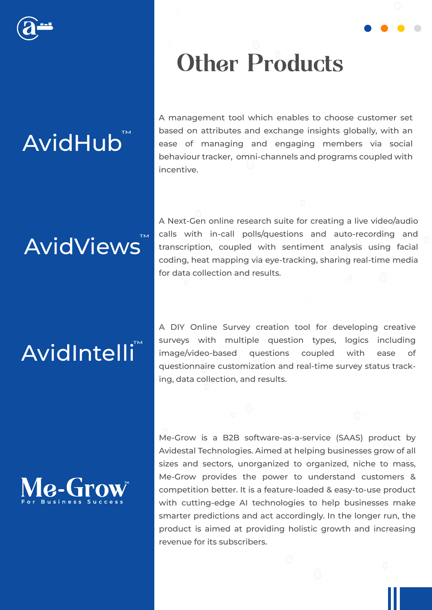

## AvidHub<sup>"</sup>

#### A management tool which enables to choose customer set based on attributes and exchange insights globally, with an ease of managing and engaging members via social behaviour tracker, omni-channels and programs coupled with incentive.

**Other Products** 

## **AvidViews**

A Next-Gen online research suite for creating a live video/audio calls with in-call polls/questions and auto-recording and transcription, coupled with sentiment analysis using facial coding, heat mapping via eye-tracking, sharing real-time media for data collection and results.

## AvidIntelli<sup>"</sup>

**Me-Gro** 

A DIY Online Survey creation tool for developing creative surveys with multiple question types, logics including image/video-based questions coupled with ease of questionnaire customization and real-time survey status tracking, data collection, and results.

Me-Grow is a B2B software-as-a-service (SAAS) product by Avidestal Technologies. Aimed at helping businesses grow of all sizes and sectors, unorganized to organized, niche to mass, Me-Grow provides the power to understand customers & competition better. It is a feature-loaded & easy-to-use product with cutting-edge AI technologies to help businesses make smarter predictions and act accordingly. In the longer run, the product is aimed at providing holistic growth and increasing revenue for its subscribers.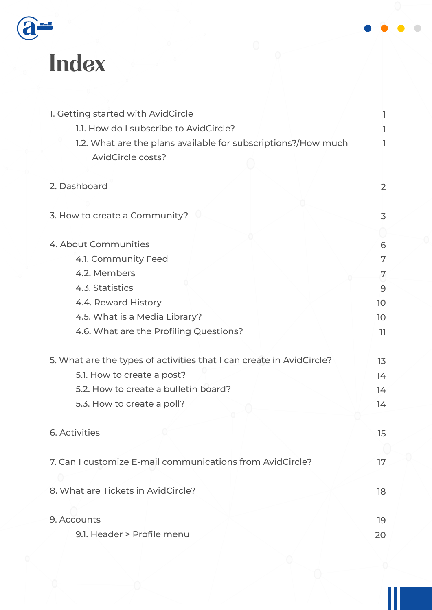

## Index

| 1. Getting started with AvidCircle                                   |                 |
|----------------------------------------------------------------------|-----------------|
| 1.1. How do I subscribe to AvidCircle?                               |                 |
| 1.2. What are the plans available for subscriptions?/How much        | ı.              |
| <b>AvidCircle costs?</b>                                             |                 |
|                                                                      |                 |
| 2. Dashboard                                                         | 2               |
|                                                                      |                 |
| 3. How to create a Community?                                        | 3               |
|                                                                      |                 |
| 4. About Communities                                                 | 6               |
| 4.1. Community Feed                                                  | 7               |
| 4.2. Members                                                         | 7               |
| 4.3. Statistics                                                      | 9               |
| 4.4. Reward History                                                  | 10              |
| 4.5. What is a Media Library?                                        | 10 <sup>°</sup> |
| 4.6. What are the Profiling Questions?                               | 11              |
|                                                                      |                 |
| 5. What are the types of activities that I can create in AvidCircle? | 13              |
| 5.1. How to create a post?                                           | 14              |
| 5.2. How to create a bulletin board?                                 | 14              |
| 5.3. How to create a poll?                                           | 14              |
|                                                                      |                 |
| <b>6. Activities</b>                                                 | 15              |
|                                                                      |                 |
| 7. Can I customize E-mail communications from AvidCircle?            | 17              |
|                                                                      |                 |
| 8. What are Tickets in AvidCircle?                                   | 18              |
|                                                                      |                 |
| 9. Accounts                                                          | 19              |
| 9.1. Header > Profile menu                                           | 20              |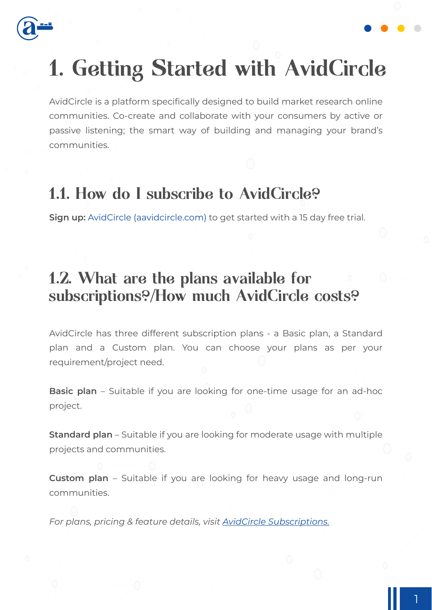

### 1. Getting Started with AvidCircle

AvidCircle is a platform specifically designed to build market research online communities. Co-create and collaborate with your consumers by active or passive listening; the smart way of building and managing your brand's communities.

#### 1.1. How do I subscribe to AvidCircle?

**Sign up:** AvidCircle (aavidcircle.com) to get started with a 15 day free trial.

#### 1.2. What are the plans available for subscriptions?/How much AvidCircle costs?

AvidCircle has three different subscription plans - a Basic plan, a Standard plan and a Custom plan. You can choose your plans as per your requirement/project need.

**Basic plan** – Suitable if you are looking for one-time usage for an ad-hoc project.

**Standard plan** – Suitable if you are looking for moderate usage with multiple projects and communities.

**Custom plan** – Suitable if you are looking for heavy usage and long-run communities.

*For plans, pricing & feature details, visit AvidCircle Subscriptions.*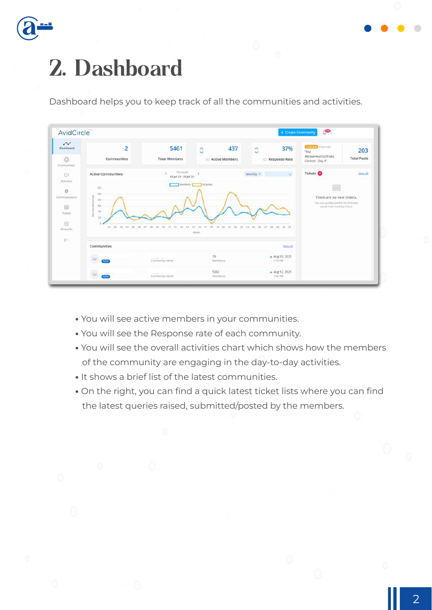

### 2. Dashboard

Dashboard helps you to keep track of all the communities and activities.



- **•** You will see active members in your communities.
- **•** You will see the Response rate of each community.
- **•** You will see the overall activities chart which shows how the members of the community are engaging in the day-to-day activities.
- **•** It shows a brief list of the latest communities.
- **•** On the right, you can find a quick latest ticket lists where you can find the latest queries raised, submitted/posted by the members.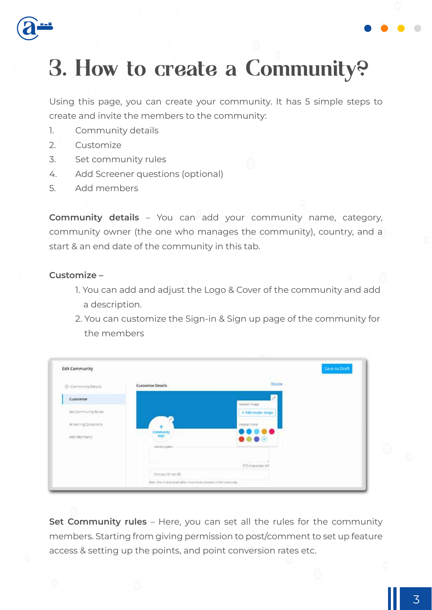

### 3. How to create a Community?

Using this page, you can create your community. It has 5 simple steps to create and invite the members to the community:

- 1. Community details
- 2. Customize
- 3. Set community rules
- 4. Add Screener questions (optional)
- 5. Add members

**Community details** – You can add your community name, category, community owner (the one who manages the community), country, and a start & an end date of the community in this tab.

#### **Customize –**

- 1. You can add and adjust the Logo & Cover of the community and add a description.
- 2. You can customize the Sign-in & Sign up page of the community for the members

| C Community Details | MARKET CONTRACTOR CONTRACTOR<br><b>Customise Details</b> | hann                                                                                     |
|---------------------|----------------------------------------------------------|------------------------------------------------------------------------------------------|
| Customise           |                                                          | Intuitier Image                                                                          |
| Set Community Bules |                                                          | + Add Header Intage                                                                      |
| Screening Questions |                                                          | Header Color                                                                             |
| Abb Members:        | Community<br>logs                                        | $\bullet\bullet\bullet\bullet\bullet$<br>$\bullet\bullet\bullet\textcolor{black}{\circ}$ |
|                     | An Drunpen                                               |                                                                                          |
|                     |                                                          | 310 Guracters (eft.)                                                                     |

**Set Community rules** – Here, you can set all the rules for the community members. Starting from giving permission to post/comment to set up feature access & setting up the points, and point conversion rates etc.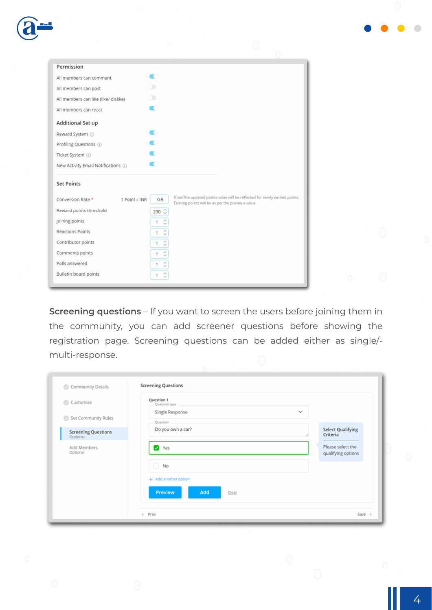| Permission                           |                          |                                                                                                                                |
|--------------------------------------|--------------------------|--------------------------------------------------------------------------------------------------------------------------------|
| All members can comment              | r.                       |                                                                                                                                |
| All members can post                 | ಾ                        |                                                                                                                                |
| All members can like (like/ dislike) | ∂D.                      |                                                                                                                                |
| All members can react                |                          |                                                                                                                                |
| Additional Set up                    |                          |                                                                                                                                |
| Reward System (i)                    |                          |                                                                                                                                |
| Profiling Questions (i)              |                          |                                                                                                                                |
| Ticket System (i)                    |                          |                                                                                                                                |
| New Activity Email Notifications (i) |                          |                                                                                                                                |
| <b>Set Points</b>                    |                          |                                                                                                                                |
| $1 Point = INR$<br>Conversion Rate * | 0.5                      | Note:The updated points value will be reflected for newly earned points.<br>Existing points will be as per the previous value. |
| Reward points threshold              | $200^\circ$              |                                                                                                                                |
| Joining points                       | ੋ<br>1                   |                                                                                                                                |
| <b>Reactions Points</b>              | $\hat{\mathcal{C}}$<br>1 |                                                                                                                                |
| Contributor points                   | $\hat{\zeta}$<br>1       |                                                                                                                                |
| Comments points                      | $\hat{C}$<br>$\ddagger$  |                                                                                                                                |
| Polls answered                       | č<br>Ŧ                   |                                                                                                                                |
| Bulletin board points                | ۸<br>1<br>$\omega$       |                                                                                                                                |

**Screening questions** – If you want to screen the users before joining them in the community, you can add screener questions before showing the registration page. Screening questions can be added either as single/ multi-response.

| Community Details                      | <b>Screening Questions</b>                     |                                         |
|----------------------------------------|------------------------------------------------|-----------------------------------------|
| Customise                              | Question 1<br>Question type<br>Single Response | $\checkmark$                            |
| Set Community Rules                    | Question                                       |                                         |
| <b>Screening Questions</b><br>Optional | Do you own a car?                              | <b>Select Qualifying</b><br>Criteria    |
| Add Members<br>Optional                | Yes<br>$\blacktriangledown$                    | Please select the<br>qualifying options |
|                                        | □<br>No                                        |                                         |
|                                        | + Add another option                           |                                         |
|                                        | Add<br><b>Preview</b><br>Clear                 |                                         |
|                                        | < Prev                                         | Save >                                  |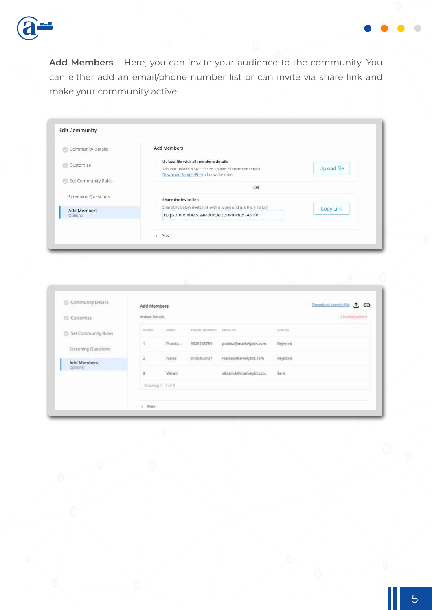

**Add Members** – Here, you can invite your audience to the community. You can either add an email/phone number list or can invite via share link and make your community active.

| Community Details          | <b>Add Members</b>                                           |                    |
|----------------------------|--------------------------------------------------------------|--------------------|
| ⊛                          | Upload file with all members details                         |                    |
| Customise                  | You can upload a SASS file to upload all member details.     | <b>Upload file</b> |
| Set Community Rules        | Download Sample File to know the order.                      |                    |
|                            | OR                                                           |                    |
| <b>Screening Questions</b> | Share the invite link                                        |                    |
| <b>Add Members</b>         | Share the below invite link with anyone and ask them to join | <b>Copy Link</b>   |
| Optional                   | https://members.aavidcircle.com/invite/7481fd                |                    |
|                            |                                                              |                    |

|        |                 |                                                      |                         |          | Download sample file (T) CO |
|--------|-----------------|------------------------------------------------------|-------------------------|----------|-----------------------------|
|        |                 |                                                      |                         |          | 3 Invitee added             |
| 38,902 | NAME            | <b>FHONE NUMBER</b>                                  | EMAIL ID                | STATUS : |                             |
|        | Pranita.        | 9326268759                                           | pranita@markelytics.com | Rejected |                             |
| ž,     | rasika<br>5557  | 9139469737                                           | rasika@markelytics.com  | Rejected |                             |
| 3      | <b>Vikram</b>   |                                                      | vikram.k@markelytics.co | Sent     |                             |
|        |                 |                                                      |                         |          |                             |
|        |                 |                                                      |                         |          |                             |
|        | $\epsilon$ Prev | Add Members<br>Invitee Details<br>Showing 1 - 3 of 3 |                         |          |                             |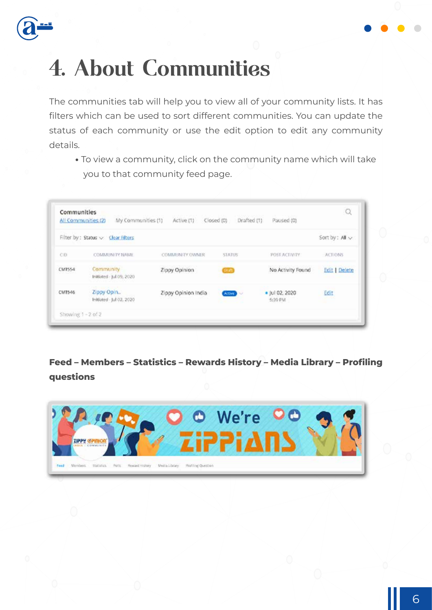



The communities tab will help you to view all of your community lists. It has filters which can be used to sort different communities. You can update the status of each community or use the edit option to edit any community details.

**•** To view a community, click on the community name which will take you to that community feed page.

|        | Filter by : Status $\smile$ Clear Filters    |                     |               |                           | Sort by: All ~       |
|--------|----------------------------------------------|---------------------|---------------|---------------------------|----------------------|
| CIDE   | <b>COMMUNITY NAME</b>                        | COMMUNITY OWNER     | <b>STATUS</b> | POST ACTIVITY             | ACTIONS              |
| CMT554 | <b>Community</b><br>Initiated - Jul 09, 2020 | Zippy Opinion       | <b>Etrane</b> | No Activity Found         | <b>Edit   Delete</b> |
| CMT546 | Zippy Opin<br>Initiated - Jul 02, 2020       | Zippy Opinion India | Activity      | · Jul 02, 2020<br>5:39 PM | Edit                 |

#### **Feed – Members – Statistics – Rewards History – Media Library – Profiling questions**

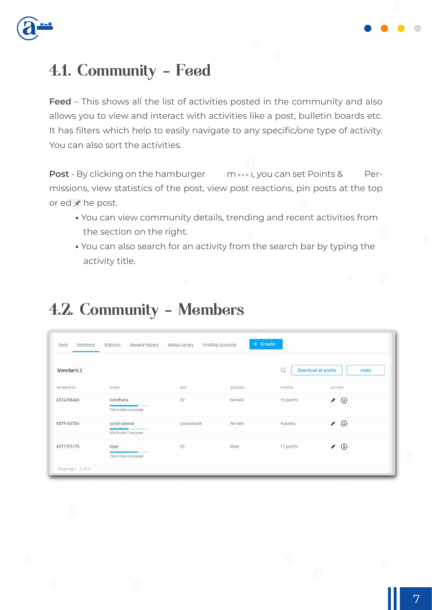

#### 4.1. Community - Feed

**Feed** – This shows all the list of activities posted in the community and also allows you to view and interact with activities like a post, bulletin boards etc. It has filters which help to easily navigate to any specific/one type of activity. You can also sort the activities.

**Post** - By clicking on the hamburger menu, you can set Points & Permissions, view statistics of the post, view post reactions, pin posts at the top or ed $\star$  he post.

- **•** You can view community details, trending and recent activities from the section on the right.
- **•** You can also search for an activity from the search bar by typing the activity title.

#### 4.2. Community - Members

| <b>Members</b><br>Feed | Reward History<br>Statistics          | Media Library | Profiling Question | $+$ Create  |                                |
|------------------------|---------------------------------------|---------------|--------------------|-------------|--------------------------------|
| <b>Members 3</b>       |                                       |               |                    | $\mathbb Q$ | Download all profile<br>Invite |
| MEMBER ID              | NAME                                  | AGE           | GENDER             | POINTS      | <b>ACTION</b>                  |
| 6574298440             | Vandhana<br>75% Profile Completed     | 32            | Female             | 10 points   | $_{\oplus}$<br>∕               |
| 6579163754             | sonal saxena<br>50% Profile Completed | Unavailable   | Female             | 9 points    | $\odot$<br>∕                   |
| 6577375175             | Vijay<br>75% Profile Completed        | 32            | Male               | 12 points   | $\odot$<br>∕                   |
| Showing 1-3 of 3       |                                       |               |                    |             |                                |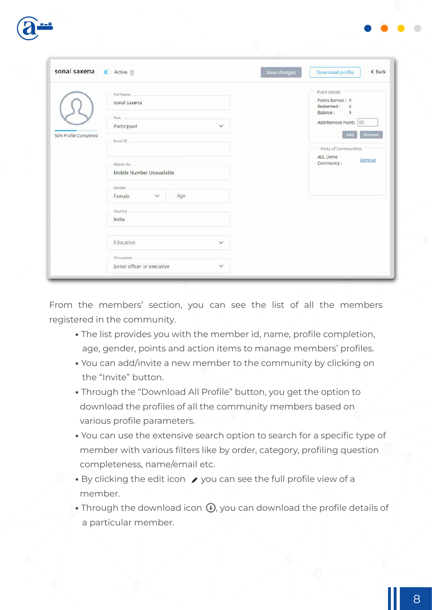

|                       |                                           |              | Save changes | Download profile                                          |
|-----------------------|-------------------------------------------|--------------|--------------|-----------------------------------------------------------|
|                       | Full Name<br>sonal saxena                 |              |              | Point details<br>Points Earned: 9<br>Redeemed:<br>$\circ$ |
|                       | Role _<br>Participant                     | $\checkmark$ |              | Balance:<br>9<br>Add/Remove Points 00<br>Add<br>Remove    |
| 50% Profile Completed | Email ID                                  |              |              | Parts of Communities<br>ADL Demo                          |
|                       | Mobile No<br>Mobile Number Unavailable    |              |              | Remove<br>Community:                                      |
|                       | Gender<br>Female<br>$\checkmark$<br>Age   |              |              |                                                           |
|                       | Country<br>India                          |              |              |                                                           |
|                       | Education                                 | $\checkmark$ |              |                                                           |
|                       | Occupation<br>Junior officer or executive | $\checkmark$ |              |                                                           |

From the members' section, you can see the list of all the members registered in the community.

- **•** The list provides you with the member id, name, profile completion, age, gender, points and action items to manage members' profiles.
- **•** You can add/invite a new member to the community by clicking on the "Invite" button.
- **•** Through the "Download All Profile" button, you get the option to download the profiles of all the community members based on various profile parameters.
- **•** You can use the extensive search option to search for a specific type of member with various filters like by order, category, profiling question completeness, name/email etc.
- By clicking the edit icon  $\rightarrow$  you can see the full profile view of a member.
- Through the download icon  $\mathbb{Q}$ , you can download the profile details of a particular member.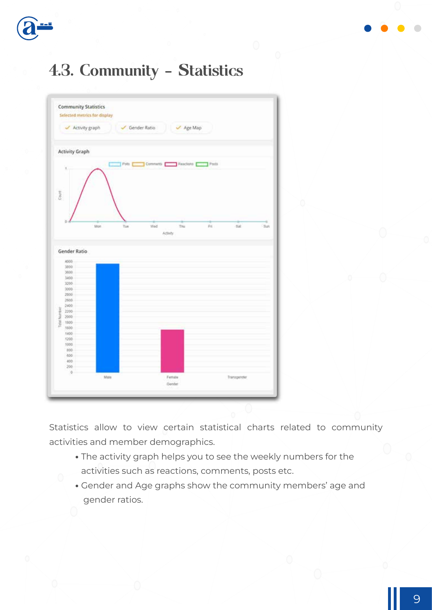



### 4.3. Community - Statistics



Statistics allow to view certain statistical charts related to community activities and member demographics.

- **•** The activity graph helps you to see the weekly numbers for the activities such as reactions, comments, posts etc.
- **•** Gender and Age graphs show the community members' age and gender ratios.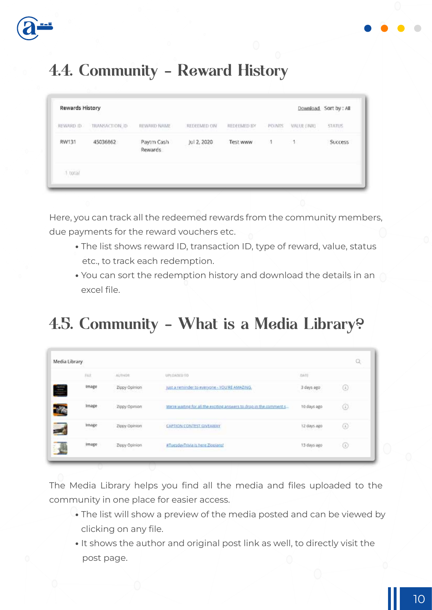

### 4.4. Community - Reward History

| The Control Control<br>Rewards History |                 |                       |             |             |               |             | Download Sort by: All |
|----------------------------------------|-----------------|-----------------------|-------------|-------------|---------------|-------------|-----------------------|
| REWARD ID.                             | TRANSACTION. ID | <b>BEWARD NAME</b>    | REDEEMED ON | REDEEMED BY | POINTS        | VALUE (INR) | <b>STATUS</b>         |
| RW131                                  | 45036862        | Paytm Cash<br>Rewards | Jul 2, 2020 | Test www    | $\rightarrow$ | $-1$        | <b>Success</b>        |
| $1$ total                              |                 |                       |             |             |               |             |                       |

Here, you can track all the redeemed rewards from the community members, due payments for the reward vouchers etc.

- **•** The list shows reward ID, transaction ID, type of reward, value, status etc., to track each redemption.
- **•** You can sort the redemption history and download the details in an excel file.

### 4.5. Community - What is a Media Library?

| Media Library |               |                                                                        |                              | Q          |
|---------------|---------------|------------------------------------------------------------------------|------------------------------|------------|
| <b>JUE</b>    | ALITHOR       | UPLOANED TO                                                            | <b>DATE</b>                  |            |
| Image         | Zippy Opinion | just a reminder to everyone - YOU'RE AMAZING.                          | 3 days ago                   | ⊕          |
| Image         | Zippy Opinion | We're waiting for all the exciting answers to drop in the comment siz- | 10.days ago                  | $^{\circ}$ |
| Image         | Zippy Opinion | CAPTION CONTEST GIVENWAY                                               | 12 days ago<br>フィン せいしゃしょうさい | ⊙          |
| Image         | Zippy Opinion | #TuesdayTrivia is here Ziopians!                                       | 13 days ago                  | ⊕          |
|               |               |                                                                        |                              |            |

The Media Library helps you find all the media and files uploaded to the community in one place for easier access.

- **•** The list will show a preview of the media posted and can be viewed by clicking on any file.
- **•** It shows the author and original post link as well, to directly visit the post page.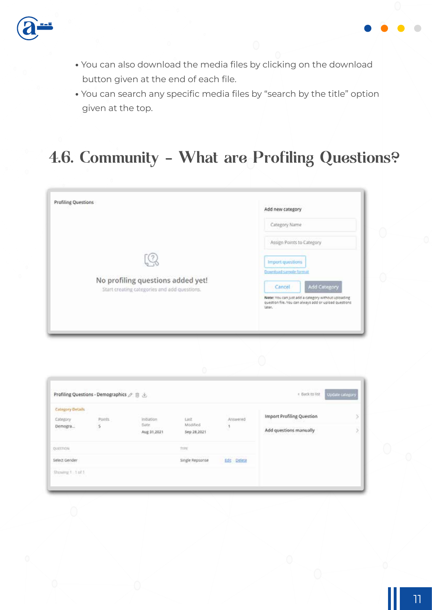

- **•** You can also download the media files by clicking on the download button given at the end of each file.
- **•** You can search any specific media files by "search by the title" option given at the top.

#### 4.6. Community - What are Profiling Questions?

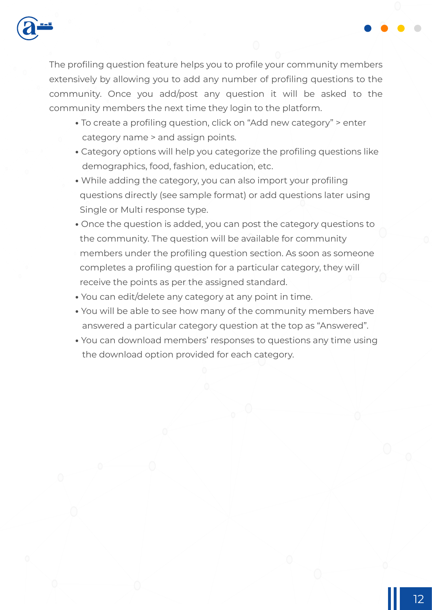

The profiling question feature helps you to profile your community members extensively by allowing you to add any number of profiling questions to the community. Once you add/post any question it will be asked to the community members the next time they login to the platform.

- **•** To create a profiling question, click on "Add new category" > enter category name > and assign points.
- **•** Category options will help you categorize the profiling questions like demographics, food, fashion, education, etc.
- **•** While adding the category, you can also import your profiling questions directly (see sample format) or add questions later using Single or Multi response type.
- **•** Once the question is added, you can post the category questions to the community. The question will be available for community members under the profiling question section. As soon as someone completes a profiling question for a particular category, they will receive the points as per the assigned standard.
- **•** You can edit/delete any category at any point in time.
- **•** You will be able to see how many of the community members have answered a particular category question at the top as "Answered".
- **•** You can download members' responses to questions any time using the download option provided for each category.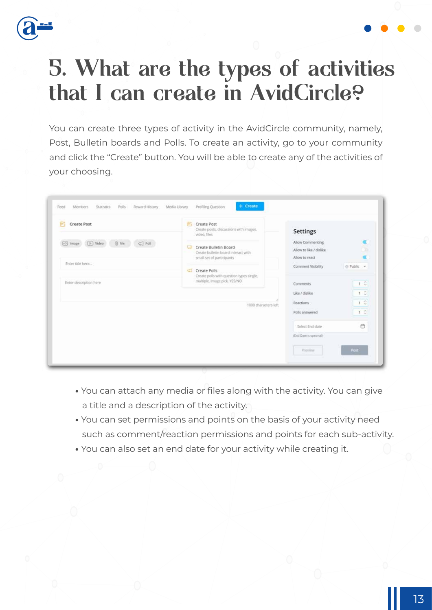

### 5. What are the types of activities that I can create in AvidCircle?

You can create three types of activity in the AvidCircle community, namely, Post, Bulletin boards and Polls. To create an activity, go to your community and click the "Create" button. You will be able to create any of the activities of your choosing.

| E.<br>Create Post                                    | 所<br>Create Post<br>Create posts, discussions with images,<br>video, files                           | <b>Settings</b>                                                        |
|------------------------------------------------------|------------------------------------------------------------------------------------------------------|------------------------------------------------------------------------|
| $@$ file<br>(p.) Video<br>$\Box$ Poli<br>[-3] Trnage | Create Bulletin Board<br>$\Box$<br>Create bulletin board interact with<br>small set of participants. | Allow Commenting<br>Ý.<br>Allow to like / dislike<br>Allow to react    |
| Enter title here                                     | Create Polls                                                                                         | Comment Visibility<br>⊕ Public →                                       |
| Enter description here                               | Create polls with question types single.<br>multiple, Image pick, YES/NO                             | 1.2<br>Comments                                                        |
|                                                      | 1000 characters left                                                                                 | $1\,$ $\degree$<br>Like / dislike<br>$1$ $\degree$<br><b>Reactions</b> |
|                                                      |                                                                                                      | 1C<br>Polls answered                                                   |
|                                                      |                                                                                                      | Ő<br>Select End date                                                   |
|                                                      |                                                                                                      | (End Date is spitonal)                                                 |

- **•** You can attach any media or files along with the activity. You can give a title and a description of the activity.
- **•** You can set permissions and points on the basis of your activity need such as comment/reaction permissions and points for each sub-activity.
- **•** You can also set an end date for your activity while creating it.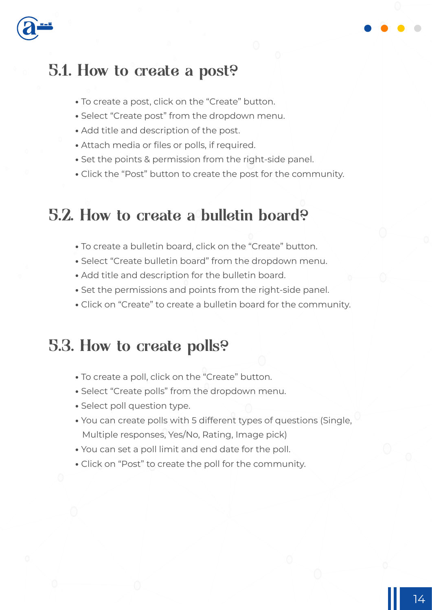

#### 5.1. How to create a post?

- **•** To create a post, click on the "Create" button.
- **•** Select "Create post" from the dropdown menu.
- **•** Add title and description of the post.
- **•** Attach media or files or polls, if required.
- **•** Set the points & permission from the right-side panel.
- **•** Click the "Post" button to create the post for the community.

#### 5.2. How to create a bulletin board?

- **•** To create a bulletin board, click on the "Create" button.
- **•** Select "Create bulletin board" from the dropdown menu.
- **•** Add title and description for the bulletin board.
- **•** Set the permissions and points from the right-side panel.
- **•** Click on "Create" to create a bulletin board for the community.

#### 5.3. How to create polls?

- **•** To create a poll, click on the "Create" button.
- **•** Select "Create polls" from the dropdown menu.
- **•** Select poll question type.
- **•** You can create polls with 5 different types of questions (Single, Multiple responses, Yes/No, Rating, Image pick)
- **•** You can set a poll limit and end date for the poll.
- **•** Click on "Post" to create the poll for the community.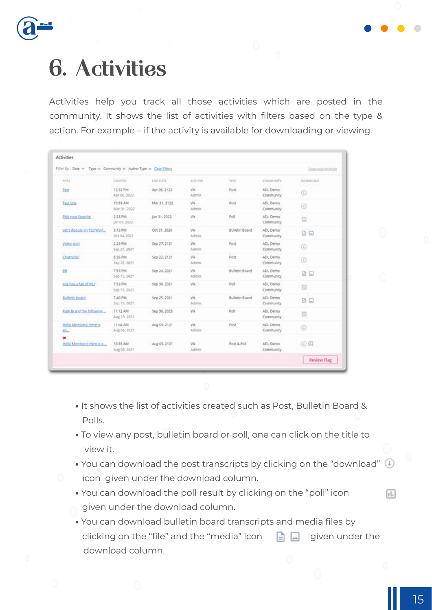

### 6. Activities

Activities help you track all those activities which are posted in the community. It shows the list of activities with filters based on the type & action. For example – if the activity is available for downloading or viewing.

| Filter by: Bate v Type v Community v Author Type v Clear Filters |                           |                 |                     |                        |                              | Downside Analysis  |
|------------------------------------------------------------------|---------------------------|-----------------|---------------------|------------------------|------------------------------|--------------------|
| <b>TITLE</b>                                                     | PERFED                    | <b>END DATE</b> | ALTNAN              | <b>TIFE</b>            | community                    | DOWNLOAD           |
| <b>Test</b>                                                      | 12-33 PM<br>Apr 06, 2022  | Apr 06.2122     | Vik<br><b>Admin</b> | Post                   | ADL Demo<br>Community        | ⊙                  |
| Test title                                                       | 10:55 AM<br>Mar 31, 2022  | Mar 31, 2122    | Vik.<br>Aztimin     | Post                   | ADL Demo<br>Community        | ٥                  |
| <b>Bick your favorite</b>                                        | 2:23.PM<br>Jan 07, 2022   | Jan 31, 2022    | VA:                 | Polt                   | ADL:Demo<br>Community        | 伺                  |
| Let's discussion T20 Worl                                        | $5.13$ PM<br>Oct 04, 2021 | Oct 31, 2026    | Vik<br>Admin.       | <b>Bulletin Board</b>  | ADL Demo<br>Community.       | 6日                 |
| Video post                                                       | 3:22 PM<br>Sep 27, 2021   | Sep 27, 2121    | Vik.<br>Admin.      | Post                   | ADL Demo<br>Community        | ⊙                  |
| Chernobyt                                                        | 8:26 PM<br>Sep 22, 2021   | Sep 22, 2121    | Vik:<br>Admin.      | Post                   | ADL Demo<br><b>Community</b> | ۷                  |
| <b>BB</b>                                                        | 7:53 PM<br>540 15, 2021   | Sep 24, 2021    | V/A:<br>Admin-      | Builetin Board         | ADL Dema<br><b>Community</b> | $D =$              |
| Are you a fan of (FL)                                            | 7:53 PM<br>Sep 15, 2021   | Sep 30, 2021    | Vilk.               | Poll                   | ADL Demo<br>Community        | 圓                  |
| Balletin board                                                   | 7:40 PM<br>Sep 15, 2021   | Sep 25, 2021    | VA:<br>Admire       | Bulletin Board         | ADL Demo<br>Community        | <b>DE</b>          |
| Rate Brand the following                                         | 11:12 AM<br>Aug 15, 2021  | Sep 30, 2023    | Vik                 | Poll                   | ADL Demo<br><b>Community</b> | 码                  |
| Helio Members/ Here is<br>$20 -$                                 | 11:04 AM<br>Aug 05, 2021  | Aug 05, 2121    | VR:<br>Advisin'     | Post                   | ADL Demo:<br>Community       | $\circledcirc$     |
| Hello Members! Here is a                                         | 10:55 AM<br>Aug 05, 2021  | Aug 05, 2121    | VA:<br>Admin        | <b>Pott &amp; Poll</b> | ADL Demo<br>Community        | <b>①田</b>          |
|                                                                  |                           |                 |                     |                        |                              | <b>Review Flag</b> |

- **•** It shows the list of activities created such as Post, Bulletin Board & Polls.
- **•** To view any post, bulletin board or poll, one can click on the title to view it.
- You can download the post transcripts by clicking on the "download" (1) icon given under the download column.
- **•** You can download the poll result by clicking on the "poll" icon given under the download column.
- **•** You can download bulletin board transcripts and media files by clicking on the "file" and the "media" icon  $\Box$  given under the download column.

同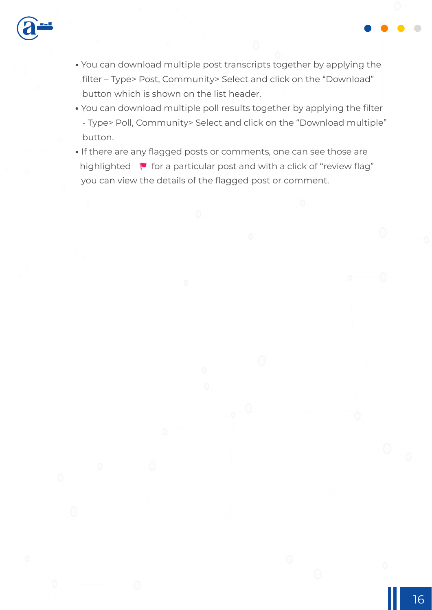

- **•** You can download multiple post transcripts together by applying the filter – Type> Post, Community> Select and click on the "Download" button which is shown on the list header.
- **•** You can download multiple poll results together by applying the filter - Type> Poll, Community> Select and click on the "Download multiple" button.
- **•** If there are any flagged posts or comments, one can see those are highlighted  $\blacktriangleright$  for a particular post and with a click of "review flag" you can view the details of the flagged post or comment.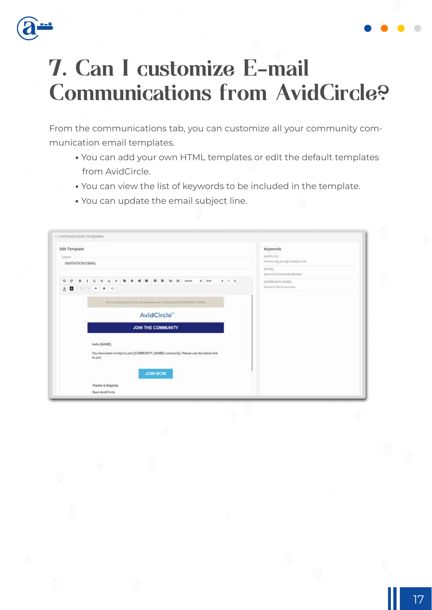

### 7. Can I customize E-mail Communications from AvidCircle?

From the communications tab, you can customize all your community communication email templates.

- **•** You can add your own HTML templates or edit the default templates from AvidCircle.
- **•** You can view the list of keywords to be included in the template.
- **•** You can update the email subject line.

| <b>Edit Template</b>                                                                             | Keywords                                       |
|--------------------------------------------------------------------------------------------------|------------------------------------------------|
| Subject.<br>INVITATION EMAIL                                                                     | previlence.<br>Community jaming insulation UKL |
|                                                                                                  | <b>DUMIT</b><br>Same of Community Member       |
| $\triangle$ <b>M</b> $\rightarrow$ $\rightarrow$ $\sim$ $\sim$ $\sim$                            | (COMMUNITY_NAME)<br>Name of the Community      |
|                                                                                                  |                                                |
| To che sini error gi this ameritamano peo pre a mondor al 200MM/MTV (NAME)                       |                                                |
| AvidCircle <sup>®</sup>                                                                          |                                                |
| <b>JOIN THE COMMUNITY</b>                                                                        |                                                |
| Helly DIAME).                                                                                    |                                                |
| You have been invited to join [COMMUNITY_NAME] community. Flease use the below link.<br>no join. |                                                |
| <b>JOIN NOW</b>                                                                                  |                                                |
| Thanks & Regards.                                                                                |                                                |
| Teers AvidCircle                                                                                 |                                                |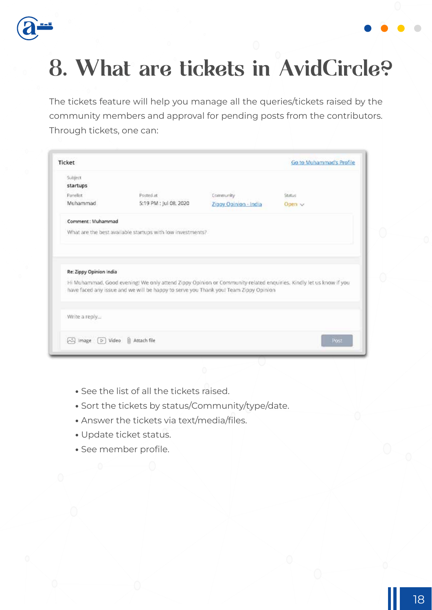

### 8. What are tickets in AvidCircle?

The tickets feature will help you manage all the queries/tickets raised by the community members and approval for pending posts from the contributors. Through tickets, one can:

| Ticket                  |                                                                                                                                                                                                           |                       | Go to Muhammad's Profile |
|-------------------------|-----------------------------------------------------------------------------------------------------------------------------------------------------------------------------------------------------------|-----------------------|--------------------------|
| Subject                 |                                                                                                                                                                                                           |                       |                          |
| startups                |                                                                                                                                                                                                           |                       |                          |
| Panelist                | Posted at                                                                                                                                                                                                 | Community             | Status                   |
| Muhammad                | 5:19 PM : Jul 08, 2020                                                                                                                                                                                    | Zippy Opinion - India | Open v                   |
| Comment: Muhammad       |                                                                                                                                                                                                           |                       |                          |
|                         | What are the best available startups with low investments?                                                                                                                                                |                       |                          |
|                         |                                                                                                                                                                                                           |                       |                          |
| Re: Zippy Opinion India |                                                                                                                                                                                                           |                       |                          |
|                         | Hi Muhammad, Good evening! We only attend Zippy Opinion or Community-related enquiries. Kindly let us know if you<br>have faced any issue and we will be happy to serve you Thank you! Team Zippy Opinion |                       |                          |
| Write a reply           |                                                                                                                                                                                                           |                       |                          |

- **•** See the list of all the tickets raised.
- **•** Sort the tickets by status/Community/type/date.
- **•** Answer the tickets via text/media/files.
- **•** Update ticket status.
- **•** See member profile.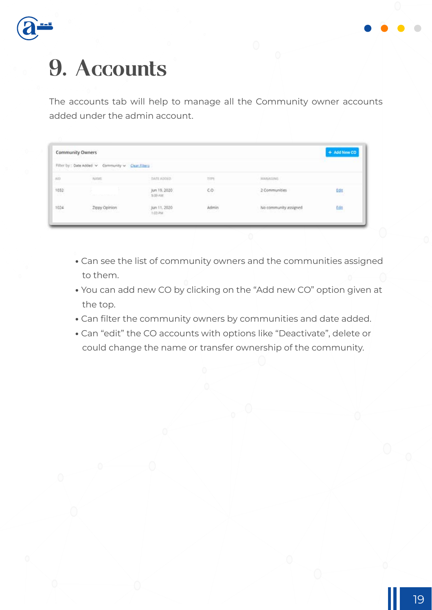

### 9. Accounts

The accounts tab will help to manage all the Community owner accounts added under the admin account.

| Community Owners                              |                                                      |                                                                          |             |                                                          | + Add New CO |
|-----------------------------------------------|------------------------------------------------------|--------------------------------------------------------------------------|-------------|----------------------------------------------------------|--------------|
| Filter by : Date Added ~<br><b>CONTRACTOR</b> | Community ~ Clear Fibers<br><b>STATE AND PRODUCT</b> |                                                                          |             |                                                          |              |
| $\lambda$                                     | AGAINTE<br><b>Charles</b>                            | <b>DATE ADDED</b><br>daan mala                                           | <b>TYPE</b> | <b>MANAILING</b>                                         |              |
| 1032                                          | v<br>THE TAXABLE PERSONAL RESIDENCE                  | jun 19, 2020<br>5:39 AM<br>-----                                         | CO.<br>mar. | 2 Communities<br>the first paper of the con-             | Edit         |
| 1024<br>117 S                                 | <b>Zippy Opinion</b><br>(표) 아버지 2010년 동네 (Tobia)     | the control of the control with the<br>Jun 11, 2020<br>1:03 PM<br>53224T | Admin       | No community assigned<br><b>A MARK AND A MOVEMENT TO</b> | Edit<br>5577 |

- **•** Can see the list of community owners and the communities assigned to them.
- **•** You can add new CO by clicking on the "Add new CO" option given at the top.
- **•** Can filter the community owners by communities and date added.
- **•** Can "edit" the CO accounts with options like "Deactivate", delete or could change the name or transfer ownership of the community.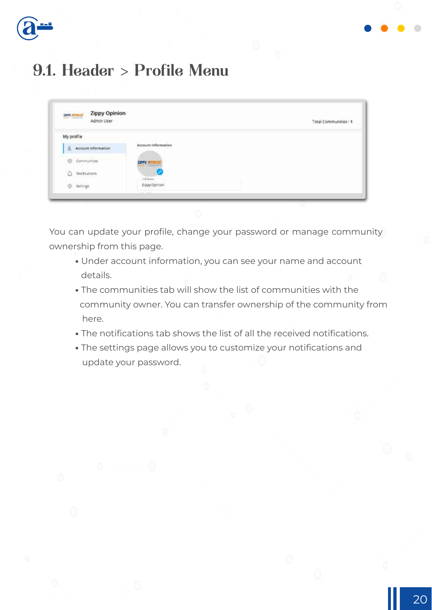

### 9.1. Header > Profile Menu

| <b>SPAN MARKET</b><br><b>Zippy Opinion</b><br>Admin User |                                                           | Total Communities: 1 |
|----------------------------------------------------------|-----------------------------------------------------------|----------------------|
| My profile                                               |                                                           |                      |
| & Account Information                                    | THE R. P. LEWIS CO., LANSING MICH.<br>Account Information |                      |
| Communities                                              | <b>Then avered</b>                                        |                      |
| $Q$ Notifications                                        | <b>FLEMaine</b>                                           |                      |
| 101 Settings                                             | Zdoy Opinion                                              |                      |

You can update your profile, change your password or manage community ownership from this page.

- **•** Under account information, you can see your name and account details.
- **•** The communities tab will show the list of communities with the community owner. You can transfer ownership of the community from here.
- **•** The notifications tab shows the list of all the received notifications.
- **•** The settings page allows you to customize your notifications and update your password.